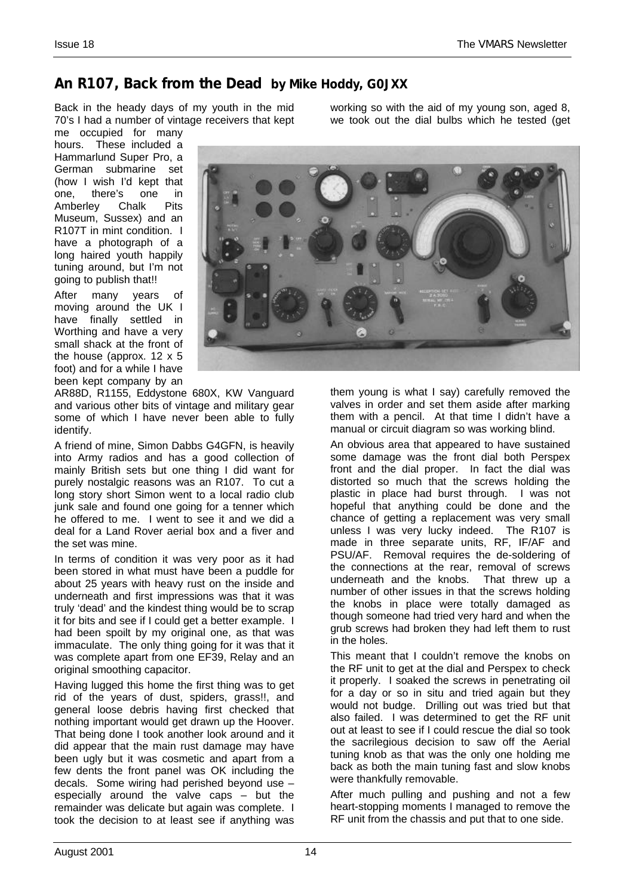## *An R107, Back from the Dead by Mike Hoddy, G0JXX*

Back in the heady days of my youth in the mid 70's I had a number of vintage receivers that kept

me occupied for many hours. These included a Hammarlund Super Pro, a German submarine set (how I wish I'd kept that one, there's one in Amberley Chalk Pits Museum, Sussex) and an R107T in mint condition. I have a photograph of a long haired youth happily tuning around, but I'm not going to publish that!!

After many years of moving around the UK I have finally settled in Worthing and have a very small shack at the front of the house (approx. 12 x 5 foot) and for a while I have been kept company by an

AR88D, R1155, Eddystone 680X, KW Vanguard and various other bits of vintage and military gear some of which I have never been able to fully identify.

A friend of mine, Simon Dabbs G4GFN, is heavily into Army radios and has a good collection of mainly British sets but one thing I did want for purely nostalgic reasons was an R107. To cut a long story short Simon went to a local radio club junk sale and found one going for a tenner which he offered to me. I went to see it and we did a deal for a Land Rover aerial box and a fiver and the set was mine.

In terms of condition it was very poor as it had been stored in what must have been a puddle for about 25 years with heavy rust on the inside and underneath and first impressions was that it was truly 'dead' and the kindest thing would be to scrap it for bits and see if I could get a better example. I had been spoilt by my original one, as that was immaculate. The only thing going for it was that it was complete apart from one EF39, Relay and an original smoothing capacitor.

Having lugged this home the first thing was to get rid of the years of dust, spiders, grass!!, and general loose debris having first checked that nothing important would get drawn up the Hoover. That being done I took another look around and it did appear that the main rust damage may have been ugly but it was cosmetic and apart from a few dents the front panel was OK including the decals. Some wiring had perished beyond use – especially around the valve caps – but the remainder was delicate but again was complete. I took the decision to at least see if anything was working so with the aid of my young son, aged 8, we took out the dial bulbs which he tested (get



them young is what I say) carefully removed the valves in order and set them aside after marking them with a pencil. At that time I didn't have a manual or circuit diagram so was working blind.

An obvious area that appeared to have sustained some damage was the front dial both Perspex front and the dial proper. In fact the dial was distorted so much that the screws holding the plastic in place had burst through. I was not hopeful that anything could be done and the chance of getting a replacement was very small unless I was very lucky indeed. The R107 is made in three separate units, RF, IF/AF and PSU/AF. Removal requires the de-soldering of the connections at the rear, removal of screws underneath and the knobs. That threw up a number of other issues in that the screws holding the knobs in place were totally damaged as though someone had tried very hard and when the grub screws had broken they had left them to rust in the holes.

This meant that I couldn't remove the knobs on the RF unit to get at the dial and Perspex to check it properly. I soaked the screws in penetrating oil for a day or so in situ and tried again but they would not budge. Drilling out was tried but that also failed. I was determined to get the RF unit out at least to see if I could rescue the dial so took the sacrilegious decision to saw off the Aerial tuning knob as that was the only one holding me back as both the main tuning fast and slow knobs were thankfully removable.

After much pulling and pushing and not a few heart-stopping moments I managed to remove the RF unit from the chassis and put that to one side.